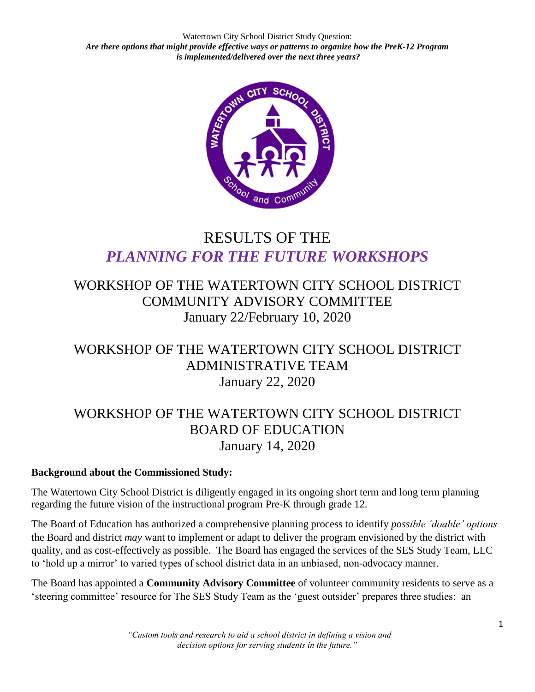Watertown City School District Study Question: *Are there options that might provide effective ways or patterns to organize how the PreK-12 Program is implemented/delivered over the next three years?*



# RESULTS OF THE *PLANNING FOR THE FUTURE WORKSHOPS*

## WORKSHOP OF THE WATERTOWN CITY SCHOOL DISTRICT COMMUNITY ADVISORY COMMITTEE January 22/February 10, 2020

### WORKSHOP OF THE WATERTOWN CITY SCHOOL DISTRICT ADMINISTRATIVE TEAM January 22, 2020

# WORKSHOP OF THE WATERTOWN CITY SCHOOL DISTRICT BOARD OF EDUCATION January 14, 2020

### **Background about the Commissioned Study:**

The Watertown City School District is diligently engaged in its ongoing short term and long term planning regarding the future vision of the instructional program Pre-K through grade 12.

The Board of Education has authorized a comprehensive planning process to identify *possible 'doable' options* the Board and district *may* want to implement or adapt to deliver the program envisioned by the district with quality, and as cost-effectively as possible. The Board has engaged the services of the SES Study Team, LLC to 'hold up a mirror' to varied types of school district data in an unbiased, non-advocacy manner.

The Board has appointed a **Community Advisory Committee** of volunteer community residents to serve as a 'steering committee' resource for The SES Study Team as the 'guest outsider' prepares three studies: an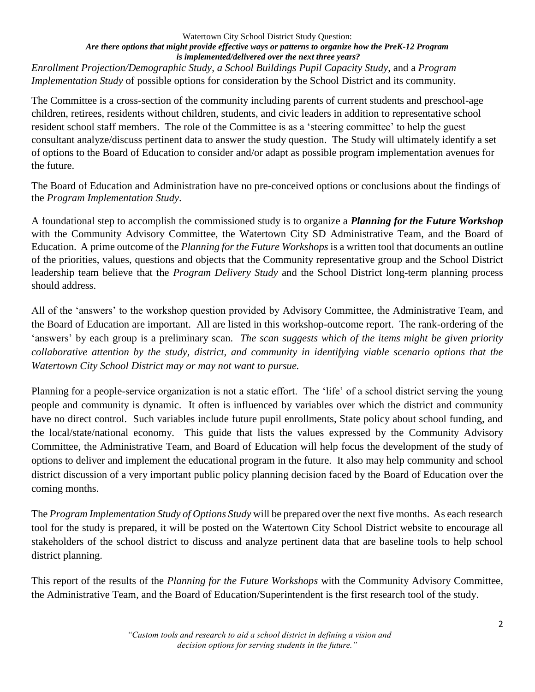#### Watertown City School District Study Question: *Are there options that might provide effective ways or patterns to organize how the PreK-12 Program is implemented/delivered over the next three years? Enrollment Projection/Demographic Study*, *a School Buildings Pupil Capacity Study*, and a *Program*

*Implementation Study* of possible options for consideration by the School District and its community.

The Committee is a cross-section of the community including parents of current students and preschool-age children, retirees, residents without children, students, and civic leaders in addition to representative school resident school staff members. The role of the Committee is as a 'steering committee' to help the guest consultant analyze/discuss pertinent data to answer the study question. The Study will ultimately identify a set of options to the Board of Education to consider and/or adapt as possible program implementation avenues for the future.

The Board of Education and Administration have no pre-conceived options or conclusions about the findings of the *Program Implementation Study*.

A foundational step to accomplish the commissioned study is to organize a *Planning for the Future Workshop* with the Community Advisory Committee, the Watertown City SD Administrative Team, and the Board of Education. A prime outcome of the *Planning for the Future Workshops* is a written tool that documents an outline of the priorities, values, questions and objects that the Community representative group and the School District leadership team believe that the *Program Delivery Study* and the School District long-term planning process should address.

All of the 'answers' to the workshop question provided by Advisory Committee, the Administrative Team, and the Board of Education are important. All are listed in this workshop-outcome report. The rank-ordering of the 'answers' by each group is a preliminary scan. *The scan suggests which of the items might be given priority collaborative attention by the study, district, and community in identifying viable scenario options that the Watertown City School District may or may not want to pursue.*

Planning for a people-service organization is not a static effort. The 'life' of a school district serving the young people and community is dynamic. It often is influenced by variables over which the district and community have no direct control. Such variables include future pupil enrollments, State policy about school funding, and the local/state/national economy. This guide that lists the values expressed by the Community Advisory Committee, the Administrative Team, and Board of Education will help focus the development of the study of options to deliver and implement the educational program in the future. It also may help community and school district discussion of a very important public policy planning decision faced by the Board of Education over the coming months.

The *Program Implementation Study of Options Study* will be prepared over the next five months. As each research tool for the study is prepared, it will be posted on the Watertown City School District website to encourage all stakeholders of the school district to discuss and analyze pertinent data that are baseline tools to help school district planning.

This report of the results of the *Planning for the Future Workshops* with the Community Advisory Committee, the Administrative Team, and the Board of Education/Superintendent is the first research tool of the study.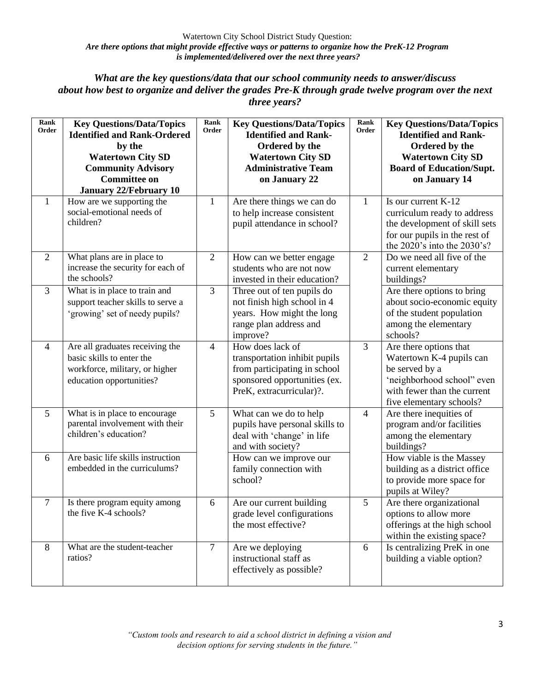### *What are the key questions/data that our school community needs to answer/discuss about how best to organize and deliver the grades Pre-K through grade twelve program over the next three years?*

| Rank<br>Order  | <b>Key Questions/Data/Topics</b><br><b>Identified and Rank-Ordered</b><br>by the<br><b>Watertown City SD</b><br><b>Community Advisory</b><br><b>Committee on</b><br><b>January 22/February 10</b> | Rank<br>Order  | <b>Key Questions/Data/Topics</b><br><b>Identified and Rank-</b><br>Ordered by the<br><b>Watertown City SD</b><br><b>Administrative Team</b><br>on January 22 | Rank<br>Order  | <b>Key Questions/Data/Topics</b><br><b>Identified and Rank-</b><br>Ordered by the<br><b>Watertown City SD</b><br><b>Board of Education/Supt.</b><br>on January 14 |
|----------------|---------------------------------------------------------------------------------------------------------------------------------------------------------------------------------------------------|----------------|--------------------------------------------------------------------------------------------------------------------------------------------------------------|----------------|-------------------------------------------------------------------------------------------------------------------------------------------------------------------|
| $\mathbf{1}$   | How are we supporting the<br>social-emotional needs of<br>children?                                                                                                                               | 1              | Are there things we can do<br>to help increase consistent<br>pupil attendance in school?                                                                     | 1              | Is our current K-12<br>curriculum ready to address<br>the development of skill sets<br>for our pupils in the rest of<br>the 2020's into the 2030's?               |
| $\overline{2}$ | What plans are in place to<br>increase the security for each of<br>the schools?                                                                                                                   | $\mathfrak{2}$ | How can we better engage<br>students who are not now<br>invested in their education?                                                                         | $\overline{2}$ | Do we need all five of the<br>current elementary<br>buildings?                                                                                                    |
| $\overline{3}$ | What is in place to train and<br>support teacher skills to serve a<br>'growing' set of needy pupils?                                                                                              | $\overline{3}$ | Three out of ten pupils do<br>not finish high school in 4<br>years. How might the long<br>range plan address and<br>improve?                                 |                | Are there options to bring<br>about socio-economic equity<br>of the student population<br>among the elementary<br>schools?                                        |
| $\overline{4}$ | Are all graduates receiving the<br>basic skills to enter the<br>workforce, military, or higher<br>education opportunities?                                                                        | $\overline{4}$ | How does lack of<br>transportation inhibit pupils<br>from participating in school<br>sponsored opportunities (ex.<br>PreK, extracurricular)?.                | $\overline{3}$ | Are there options that<br>Watertown K-4 pupils can<br>be served by a<br>'neighborhood school" even<br>with fewer than the current<br>five elementary schools?     |
| 5              | What is in place to encourage<br>parental involvement with their<br>children's education?                                                                                                         | 5              | What can we do to help<br>pupils have personal skills to<br>deal with 'change' in life<br>and with society?                                                  | $\overline{4}$ | Are there inequities of<br>program and/or facilities<br>among the elementary<br>buildings?                                                                        |
| 6              | Are basic life skills instruction<br>embedded in the curriculums?                                                                                                                                 |                | How can we improve our<br>family connection with<br>school?                                                                                                  |                | How viable is the Massey<br>building as a district office<br>to provide more space for<br>pupils at Wiley?                                                        |
| $\overline{7}$ | Is there program equity among<br>the five K-4 schools?                                                                                                                                            | 6              | Are our current building<br>grade level configurations<br>the most effective?                                                                                | 5              | Are there organizational<br>options to allow more<br>offerings at the high school<br>within the existing space?                                                   |
| 8              | What are the student-teacher<br>ratios?                                                                                                                                                           | $\overline{7}$ | Are we deploying<br>instructional staff as<br>effectively as possible?                                                                                       | 6              | Is centralizing PreK in one<br>building a viable option?                                                                                                          |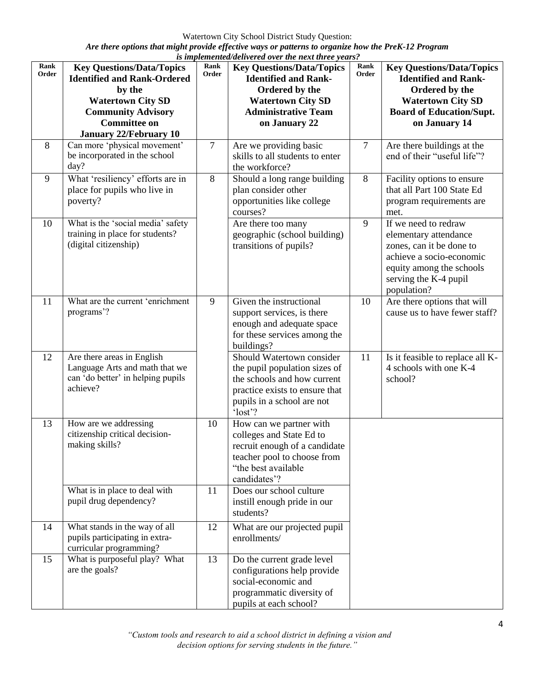Watertown City School District Study Question:

*Are there options that might provide effective ways or patterns to organize how the PreK-12 Program is implemented/delivered over the next three years?*

| Rank<br>Order | <b>Key Questions/Data/Topics</b><br><b>Identified and Rank-Ordered</b><br>by the<br><b>Watertown City SD</b><br><b>Community Advisory</b><br><b>Committee on</b><br><b>January 22/February 10</b> | us enepreneeneeu, ac<br>Rank<br>Order | <b>Key Questions/Data/Topics</b><br><b>Identified and Rank-</b><br>Ordered by the<br><b>Watertown City SD</b><br><b>Administrative Team</b><br>on January 22         | Rank<br>Order | <b>Key Questions/Data/Topics</b><br><b>Identified and Rank-</b><br>Ordered by the<br><b>Watertown City SD</b><br><b>Board of Education/Supt.</b><br>on January 14         |
|---------------|---------------------------------------------------------------------------------------------------------------------------------------------------------------------------------------------------|---------------------------------------|----------------------------------------------------------------------------------------------------------------------------------------------------------------------|---------------|---------------------------------------------------------------------------------------------------------------------------------------------------------------------------|
| 8             | Can more 'physical movement'<br>be incorporated in the school<br>day?                                                                                                                             | $\tau$                                | Are we providing basic<br>skills to all students to enter<br>the workforce?                                                                                          | $\tau$        | Are there buildings at the<br>end of their "useful life"?                                                                                                                 |
| 9             | What 'resiliency' efforts are in<br>place for pupils who live in<br>poverty?                                                                                                                      | $8\,$                                 | Should a long range building<br>plan consider other<br>opportunities like college<br>courses?                                                                        | 8             | Facility options to ensure<br>that all Part 100 State Ed<br>program requirements are<br>met.                                                                              |
| 10            | What is the 'social media' safety<br>training in place for students?<br>(digital citizenship)                                                                                                     |                                       | Are there too many<br>geographic (school building)<br>transitions of pupils?                                                                                         | 9             | If we need to redraw<br>elementary attendance<br>zones, can it be done to<br>achieve a socio-economic<br>equity among the schools<br>serving the K-4 pupil<br>population? |
| 11            | What are the current 'enrichment<br>programs'?                                                                                                                                                    | 9                                     | Given the instructional<br>support services, is there<br>enough and adequate space<br>for these services among the<br>buildings?                                     | 10            | Are there options that will<br>cause us to have fewer staff?                                                                                                              |
| 12            | Are there areas in English<br>Language Arts and math that we<br>can 'do better' in helping pupils<br>achieve?                                                                                     |                                       | Should Watertown consider<br>the pupil population sizes of<br>the schools and how current<br>practice exists to ensure that<br>pupils in a school are not<br>'lost'? | 11            | Is it feasible to replace all K-<br>4 schools with one K-4<br>school?                                                                                                     |
| 13            | How are we addressing<br>citizenship critical decision-<br>making skills?                                                                                                                         | 10                                    | How can we partner with<br>colleges and State Ed to<br>recruit enough of a candidate<br>teacher pool to choose from<br>"the best available<br>candidates'?           |               |                                                                                                                                                                           |
|               | What is in place to deal with<br>pupil drug dependency?                                                                                                                                           | 11                                    | Does our school culture<br>instill enough pride in our<br>students?                                                                                                  |               |                                                                                                                                                                           |
| 14            | What stands in the way of all<br>pupils participating in extra-<br>curricular programming?                                                                                                        | 12                                    | What are our projected pupil<br>enrollments/                                                                                                                         |               |                                                                                                                                                                           |
| 15            | What is purposeful play? What<br>are the goals?                                                                                                                                                   | 13                                    | Do the current grade level<br>configurations help provide<br>social-economic and<br>programmatic diversity of<br>pupils at each school?                              |               |                                                                                                                                                                           |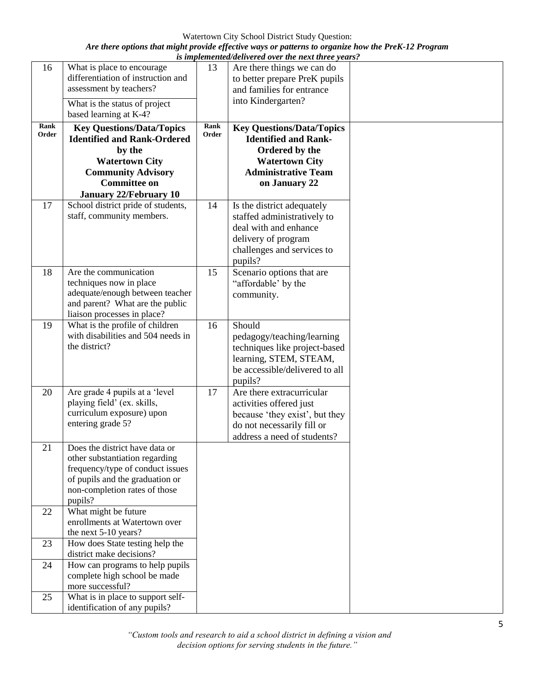Watertown City School District Study Question:

*Are there options that might provide effective ways or patterns to organize how the PreK-12 Program is implemented/delivered over the next three years?*

|               |                                                                                                                                                                                                |               | is implementea/aeliverea over the next three years?                                                                                                       |  |
|---------------|------------------------------------------------------------------------------------------------------------------------------------------------------------------------------------------------|---------------|-----------------------------------------------------------------------------------------------------------------------------------------------------------|--|
| 16            | What is place to encourage<br>differentiation of instruction and<br>assessment by teachers?<br>What is the status of project<br>based learning at K-4?                                         | 13            | Are there things we can do<br>to better prepare PreK pupils<br>and families for entrance<br>into Kindergarten?                                            |  |
| Rank<br>Order | <b>Key Questions/Data/Topics</b><br><b>Identified and Rank-Ordered</b><br>by the<br><b>Watertown City</b><br><b>Community Advisory</b><br><b>Committee on</b><br><b>January 22/February 10</b> | Rank<br>Order | <b>Key Questions/Data/Topics</b><br><b>Identified and Rank-</b><br>Ordered by the<br><b>Watertown City</b><br><b>Administrative Team</b><br>on January 22 |  |
| 17            | School district pride of students,<br>staff, community members.                                                                                                                                | 14            | Is the district adequately<br>staffed administratively to<br>deal with and enhance<br>delivery of program<br>challenges and services to<br>pupils?        |  |
| 18            | Are the communication<br>techniques now in place<br>adequate/enough between teacher<br>and parent? What are the public<br>liaison processes in place?                                          | 15            | Scenario options that are<br>"affordable' by the<br>community.                                                                                            |  |
| 19            | What is the profile of children<br>with disabilities and 504 needs in<br>the district?                                                                                                         | 16            | Should<br>pedagogy/teaching/learning<br>techniques like project-based<br>learning, STEM, STEAM,<br>be accessible/delivered to all<br>pupils?              |  |
| 20            | Are grade 4 pupils at a 'level<br>playing field' (ex. skills,<br>curriculum exposure) upon<br>entering grade 5?                                                                                | 17            | Are there extracurricular<br>activities offered just<br>because 'they exist', but they<br>do not necessarily fill or<br>address a need of students?       |  |
| 21            | Does the district have data or<br>other substantiation regarding<br>frequency/type of conduct issues<br>of pupils and the graduation or<br>non-completion rates of those<br>pupils?            |               |                                                                                                                                                           |  |
| 22            | What might be future<br>enrollments at Watertown over<br>the next 5-10 years?                                                                                                                  |               |                                                                                                                                                           |  |
| 23<br>24      | How does State testing help the<br>district make decisions?<br>How can programs to help pupils                                                                                                 |               |                                                                                                                                                           |  |
|               | complete high school be made<br>more successful?                                                                                                                                               |               |                                                                                                                                                           |  |
| 25            | What is in place to support self-<br>identification of any pupils?                                                                                                                             |               |                                                                                                                                                           |  |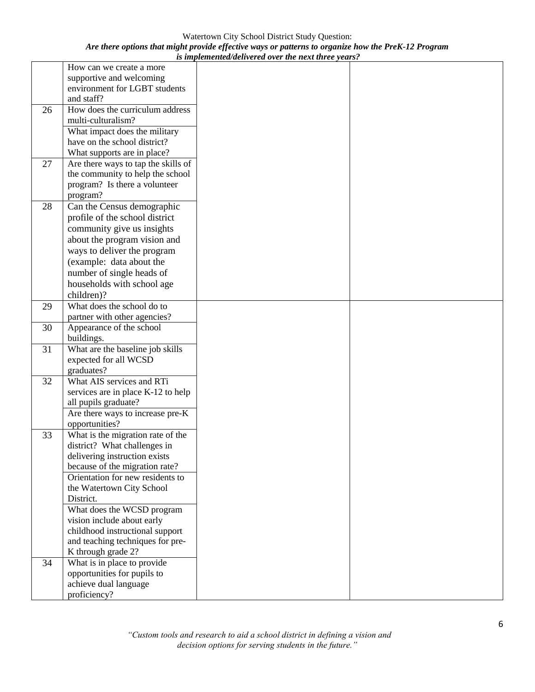Watertown City School District Study Question: *Are there options that might provide effective ways or patterns to organize how the PreK-12 Program is implemented/delivered over the next three years?*

|    | How can we create a more            |  |
|----|-------------------------------------|--|
|    | supportive and welcoming            |  |
|    | environment for LGBT students       |  |
|    | and staff?                          |  |
| 26 | How does the curriculum address     |  |
|    | multi-culturalism?                  |  |
|    | What impact does the military       |  |
|    | have on the school district?        |  |
|    | What supports are in place?         |  |
| 27 | Are there ways to tap the skills of |  |
|    | the community to help the school    |  |
|    | program? Is there a volunteer       |  |
|    | program?                            |  |
| 28 | Can the Census demographic          |  |
|    | profile of the school district      |  |
|    | community give us insights          |  |
|    | about the program vision and        |  |
|    | ways to deliver the program         |  |
|    | (example: data about the            |  |
|    | number of single heads of           |  |
|    | households with school age          |  |
|    | children)?                          |  |
| 29 | What does the school do to          |  |
|    | partner with other agencies?        |  |
| 30 | Appearance of the school            |  |
|    | buildings.                          |  |
| 31 | What are the baseline job skills    |  |
|    | expected for all WCSD               |  |
|    | graduates?                          |  |
| 32 | What AIS services and RTi           |  |
|    | services are in place K-12 to help  |  |
|    | all pupils graduate?                |  |
|    | Are there ways to increase pre-K    |  |
|    | opportunities?                      |  |
| 33 | What is the migration rate of the   |  |
|    | district? What challenges in        |  |
|    | delivering instruction exists       |  |
|    | because of the migration rate?      |  |
|    | Orientation for new residents to    |  |
|    | the Watertown City School           |  |
|    | District.                           |  |
|    | What does the WCSD program          |  |
|    | vision include about early          |  |
|    | childhood instructional support     |  |
|    | and teaching techniques for pre-    |  |
|    | K through grade 2?                  |  |
| 34 | What is in place to provide         |  |
|    | opportunities for pupils to         |  |
|    | achieve dual language               |  |
|    | proficiency?                        |  |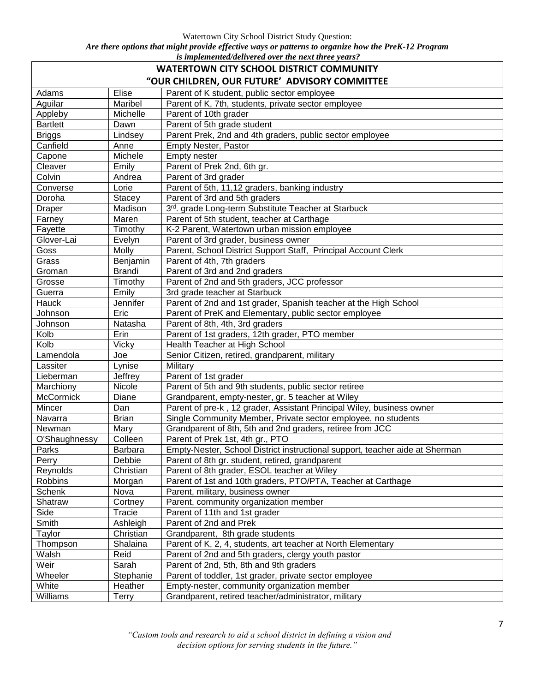Watertown City School District Study Question:

*Are there options that might provide effective ways or patterns to organize how the PreK-12 Program is implemented/delivered over the next three years?*

| в ипрититичасти са отстане нементее усагв.<br><b>WATERTOWN CITY SCHOOL DISTRICT COMMUNITY</b> |               |                                                                              |  |  |  |
|-----------------------------------------------------------------------------------------------|---------------|------------------------------------------------------------------------------|--|--|--|
|                                                                                               |               |                                                                              |  |  |  |
| "OUR CHILDREN, OUR FUTURE' ADVISORY COMMITTEE                                                 |               |                                                                              |  |  |  |
| Adams                                                                                         | Elise         | Parent of K student, public sector employee                                  |  |  |  |
| Aguilar                                                                                       | Maribel       | Parent of K, 7th, students, private sector employee                          |  |  |  |
| Appleby                                                                                       | Michelle      | Parent of 10th grader                                                        |  |  |  |
| <b>Bartlett</b>                                                                               | Dawn          | Parent of 5th grade student                                                  |  |  |  |
| <b>Briggs</b>                                                                                 | Lindsey       | Parent Prek, 2nd and 4th graders, public sector employee                     |  |  |  |
| Canfield                                                                                      | Anne          | <b>Empty Nester, Pastor</b>                                                  |  |  |  |
| Capone                                                                                        | Michele       | Empty nester                                                                 |  |  |  |
| Cleaver                                                                                       | Emily         | Parent of Prek 2nd, 6th gr.                                                  |  |  |  |
| Colvin                                                                                        | Andrea        | Parent of 3rd grader                                                         |  |  |  |
| Converse                                                                                      | Lorie         | Parent of 5th, 11,12 graders, banking industry                               |  |  |  |
| Doroha                                                                                        | Stacey        | Parent of 3rd and 5th graders                                                |  |  |  |
| <b>Draper</b>                                                                                 | Madison       | 3rd. grade Long-term Substitute Teacher at Starbuck                          |  |  |  |
| Farney                                                                                        | Maren         | Parent of 5th student, teacher at Carthage                                   |  |  |  |
| Fayette                                                                                       | Timothy       | K-2 Parent, Watertown urban mission employee                                 |  |  |  |
| Glover-Lai                                                                                    | Evelyn        | Parent of 3rd grader, business owner                                         |  |  |  |
| Goss                                                                                          | Molly         | Parent, School District Support Staff, Principal Account Clerk               |  |  |  |
| Grass                                                                                         | Benjamin      | Parent of 4th, 7th graders                                                   |  |  |  |
| Groman                                                                                        | <b>Brandi</b> | Parent of 3rd and 2nd graders                                                |  |  |  |
| Grosse                                                                                        | Timothy       | Parent of 2nd and 5th graders, JCC professor                                 |  |  |  |
| Guerra                                                                                        | Emily         | 3rd grade teacher at Starbuck                                                |  |  |  |
| Hauck                                                                                         | Jennifer      | Parent of 2nd and 1st grader, Spanish teacher at the High School             |  |  |  |
| Johnson                                                                                       | Eric          | Parent of PreK and Elementary, public sector employee                        |  |  |  |
| Johnson                                                                                       | Natasha       | Parent of 8th, 4th, 3rd graders                                              |  |  |  |
| Kolb                                                                                          | Erin          | Parent of 1st graders, 12th grader, PTO member                               |  |  |  |
| Kolb                                                                                          | Vicky         | Health Teacher at High School                                                |  |  |  |
| Lamendola                                                                                     | Joe           | Senior Citizen, retired, grandparent, military                               |  |  |  |
| Lassiter                                                                                      | Lynise        | Military                                                                     |  |  |  |
| Lieberman                                                                                     | Jeffrey       | Parent of 1st grader                                                         |  |  |  |
| Marchiony                                                                                     | Nicole        | Parent of 5th and 9th students, public sector retiree                        |  |  |  |
| McCormick                                                                                     | Diane         | Grandparent, empty-nester, gr. 5 teacher at Wiley                            |  |  |  |
| Mincer                                                                                        | Dan           | Parent of pre-k, 12 grader, Assistant Principal Wiley, business owner        |  |  |  |
| Navarra                                                                                       | <b>Brian</b>  | Single Community Member, Private sector employee, no students                |  |  |  |
| Newman                                                                                        | Mary          | Grandparent of 8th, 5th and 2nd graders, retiree from JCC                    |  |  |  |
| O'Shaughnessy                                                                                 | Colleen       | Parent of Prek 1st, 4th gr., PTO                                             |  |  |  |
| Parks                                                                                         | Barbara       | Empty-Nester, School District instructional support, teacher aide at Sherman |  |  |  |
| Perry                                                                                         | Debbie        | Parent of 8th gr. student, retired, grandparent                              |  |  |  |
| Reynolds                                                                                      | Christian     | Parent of 8th grader, ESOL teacher at Wiley                                  |  |  |  |
| Robbins                                                                                       | Morgan        | Parent of 1st and 10th graders, PTO/PTA, Teacher at Carthage                 |  |  |  |
| Schenk                                                                                        | Nova          | Parent, military, business owner                                             |  |  |  |
| Shatraw                                                                                       | Cortney       | Parent, community organization member                                        |  |  |  |
| Side                                                                                          | Tracie        | Parent of 11th and 1st grader                                                |  |  |  |
| Smith                                                                                         | Ashleigh      | Parent of 2nd and Prek                                                       |  |  |  |
| Taylor                                                                                        | Christian     | Grandparent, 8th grade students                                              |  |  |  |
| Thompson                                                                                      | Shalaina      | Parent of K, 2, 4, students, art teacher at North Elementary                 |  |  |  |
| Walsh                                                                                         | Reid          | Parent of 2nd and 5th graders, clergy youth pastor                           |  |  |  |
| Weir                                                                                          | Sarah         | Parent of 2nd, 5th, 8th and 9th graders                                      |  |  |  |
| Wheeler                                                                                       | Stephanie     | Parent of toddler, 1st grader, private sector employee                       |  |  |  |
| White                                                                                         | Heather       | Empty-nester, community organization member                                  |  |  |  |
| Williams                                                                                      | Terry         | Grandparent, retired teacher/administrator, military                         |  |  |  |

*"Custom tools and research to aid a school district in defining a vision and decision options for serving students in the future."*